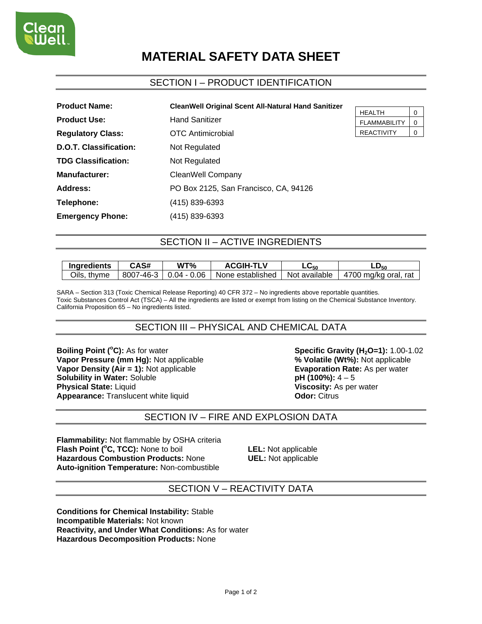# **MATERIAL SAFETY DATA SHEET**

## SECTION I – PRODUCT IDENTIFICATION

| <b>Product Name:</b>       | <b>CleanWell Original Scent All-Natural Hand Sanitizer</b> |
|----------------------------|------------------------------------------------------------|
| <b>Product Use:</b>        | <b>Hand Sanitizer</b>                                      |
| <b>Regulatory Class:</b>   | <b>OTC</b> Antimicrobial                                   |
| D.O.T. Classification:     | Not Regulated                                              |
| <b>TDG Classification:</b> | Not Regulated                                              |
| <b>Manufacturer:</b>       | CleanWell Company                                          |
| Address:                   | PO Box 2125, San Francisco, CA, 94126                      |
| Telephone:                 | (415) 839-6393                                             |
| <b>Emergency Phone:</b>    | (415) 839-6393                                             |

| HFAI TH             |  |
|---------------------|--|
| <b>FLAMMABILITY</b> |  |
| <b>REACTIVITY</b>   |  |

## SECTION II – ACTIVE INGREDIENTS

| Ingredients | <b>CAS#</b> | WT%                              | <b>ACGIH-TLV</b> | ∟⊍50          | -D <sub>50</sub>     |
|-------------|-------------|----------------------------------|------------------|---------------|----------------------|
| Oils, thyme |             | $8007 - 46 - 3 \mid 0.04 - 0.06$ | None established | Not available | 4700 mg/kg oral, rat |

SARA – Section 313 (Toxic Chemical Release Reporting) 40 CFR 372 – No ingredients above reportable quantities. Toxic Substances Control Act (TSCA) – All the ingredients are listed or exempt from listing on the Chemical Substance Inventory. California Proposition 65 – No ingredients listed.

## SECTION III – PHYSICAL AND CHEMICAL DATA

**Boiling Point (°C):** As for water **Vapor Pressure (mm Hg): Not applicable Vapor Density (Air = 1):** Not applicable **Evaporation Rate:** As per water **Solubility in Water:** Soluble **Solubility in Water:** Soluble **Solubility in Water: Soluble Physical State:** Liquid **Viscosity:** As per water **Appearance:** Translucent white liquid **CODE:** Citrus

**Specific Gravity (H<sub>2</sub>O=1):** 1.00-1.02<br>% **Volatile (Wt%):** Not applicable

## SECTION IV – FIRE AND EXPLOSION DATA

**Flammability:** Not flammable by OSHA criteria **Flash Point (°C, TCC):** None to boil **LEL:** Not applicable **Hazardous Combustion Products:** None **UEL:** Not applicable **Auto-ignition Temperature:** Non-combustible

### SECTION V – REACTIVITY DATA

**Conditions for Chemical Instability:** Stable **Incompatible Materials:** Not known **Reactivity, and Under What Conditions:** As for water **Hazardous Decomposition Products:** None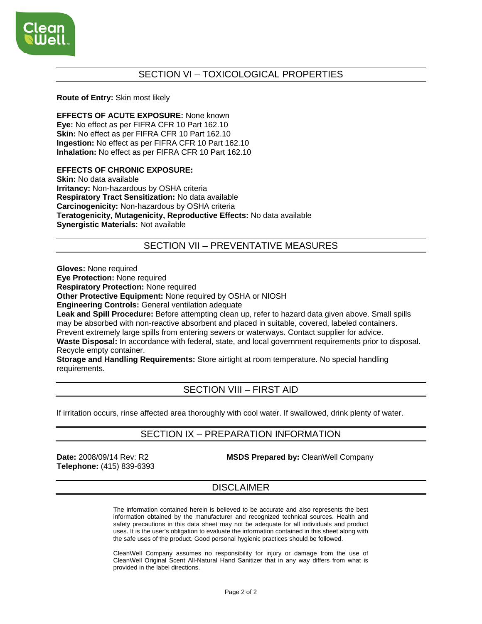

## SECTION VI – TOXICOLOGICAL PROPERTIES

#### **Route of Entry:** Skin most likely

**EFFECTS OF ACUTE EXPOSURE:** None known **Eye:** No effect as per FIFRA CFR 10 Part 162.10 **Skin:** No effect as per FIFRA CFR 10 Part 162.10 **Ingestion:** No effect as per FIFRA CFR 10 Part 162.10 **Inhalation:** No effect as per FIFRA CFR 10 Part 162.10

#### **EFFECTS OF CHRONIC EXPOSURE:**

**Skin:** No data available **Irritancy:** Non-hazardous by OSHA criteria **Respiratory Tract Sensitization:** No data available **Carcinogenicity:** Non-hazardous by OSHA criteria **Teratogenicity, Mutagenicity, Reproductive Effects:** No data available **Synergistic Materials:** Not available

## SECTION VII – PREVENTATIVE MEASURES

**Gloves:** None required

**Eye Protection:** None required

**Respiratory Protection:** None required

**Other Protective Equipment:** None required by OSHA or NIOSH

**Engineering Controls:** General ventilation adequate

**Leak and Spill Procedure:** Before attempting clean up, refer to hazard data given above. Small spills may be absorbed with non-reactive absorbent and placed in suitable, covered, labeled containers. Prevent extremely large spills from entering sewers or waterways. Contact supplier for advice. **Waste Disposal:** In accordance with federal, state, and local government requirements prior to disposal.

Recycle empty container.

**Storage and Handling Requirements:** Store airtight at room temperature. No special handling requirements.

## SECTION VIII – FIRST AID

If irritation occurs, rinse affected area thoroughly with cool water. If swallowed, drink plenty of water.

## SECTION IX – PREPARATION INFORMATION

**Telephone:** (415) 839-6393

**Date:** 2008/09/14 Rev: R2 **MSDS Prepared by:** CleanWell Company

## **DISCLAIMER**

The information contained herein is believed to be accurate and also represents the best information obtained by the manufacturer and recognized technical sources. Health and safety precautions in this data sheet may not be adequate for all individuals and product uses. It is the user's obligation to evaluate the information contained in this sheet along with the safe uses of the product. Good personal hygienic practices should be followed.

CleanWell Company assumes no responsibility for injury or damage from the use of CleanWell Original Scent All-Natural Hand Sanitizer that in any way differs from what is provided in the label directions.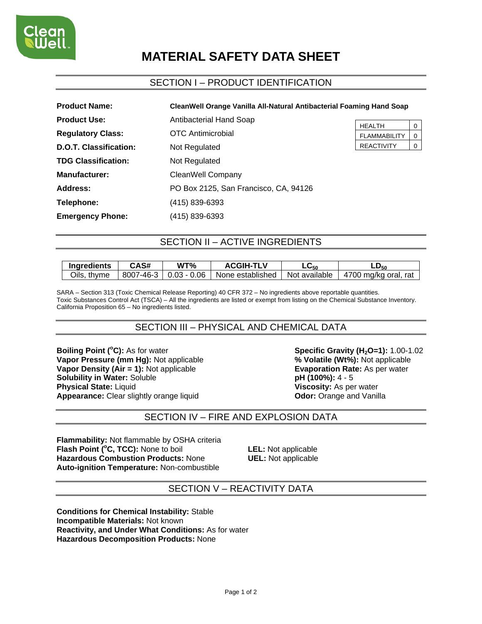

# **MATERIAL SAFETY DATA SHEET**

## SECTION I – PRODUCT IDENTIFICATION

| <b>Product Name:</b>          | CleanWell Orange Vanilla All-Natural Antibacterial Foaming Hand Soap |                                      |                         |
|-------------------------------|----------------------------------------------------------------------|--------------------------------------|-------------------------|
| <b>Product Use:</b>           | Antibacterial Hand Soap                                              |                                      |                         |
| <b>Regulatory Class:</b>      | <b>OTC</b> Antimicrobial                                             | <b>HEALTH</b><br><b>FLAMMABILITY</b> | $\mathbf 0$<br>$\Omega$ |
| <b>D.O.T. Classification:</b> | Not Regulated                                                        | <b>REACTIVITY</b>                    | $\overline{0}$          |
| <b>TDG Classification:</b>    | Not Regulated                                                        |                                      |                         |
| <b>Manufacturer:</b>          | CleanWell Company                                                    |                                      |                         |
| Address:                      | PO Box 2125, San Francisco, CA, 94126                                |                                      |                         |
| Telephone:                    | (415) 839-6393                                                       |                                      |                         |
| <b>Emergency Phone:</b>       | (415) 839-6393                                                       |                                      |                         |

## SECTION II – ACTIVE INGREDIENTS

| Ingredients | <b>CAS#</b> | WT%                              | <b>ACGIH-TL</b>  | 50 —          | LD <sub>50</sub>     |
|-------------|-------------|----------------------------------|------------------|---------------|----------------------|
| Oils, thyme |             | $8007 - 46 - 3 \mid 0.03 - 0.06$ | None established | Not available | 4700 mg/kg oral, rat |

SARA – Section 313 (Toxic Chemical Release Reporting) 40 CFR 372 – No ingredients above reportable quantities. Toxic Substances Control Act (TSCA) – All the ingredients are listed or exempt from listing on the Chemical Substance Inventory. California Proposition 65 – No ingredients listed.

## SECTION III – PHYSICAL AND CHEMICAL DATA

**Boiling Point (°C):** As for water **Vapor Pressure (mm Hg): Not applicable Vapor Density (Air = 1):** Not applicable **Evaporation Rate:** As per water **Solubility in Water:** Soluble **Solubility in Water:** Soluble **Solubility in Water: Soluble Physical State:** Liquid **Viscosity:** As per water **Appearance:** Clear slightly orange liquid **Odor:** Orange and Vanilla

**Specific Gravity (H<sub>2</sub>O=1):** 1.00-1.02<br>% **Volatile (Wt%):** Not applicable

### SECTION IV – FIRE AND EXPLOSION DATA

**Flammability:** Not flammable by OSHA criteria **Flash Point (°C, TCC):** None to boil **LEL:** Not applicable **Hazardous Combustion Products:** None **UEL:** Not applicable **Auto-ignition Temperature:** Non-combustible

#### SECTION V – REACTIVITY DATA

**Conditions for Chemical Instability:** Stable **Incompatible Materials:** Not known **Reactivity, and Under What Conditions:** As for water **Hazardous Decomposition Products:** None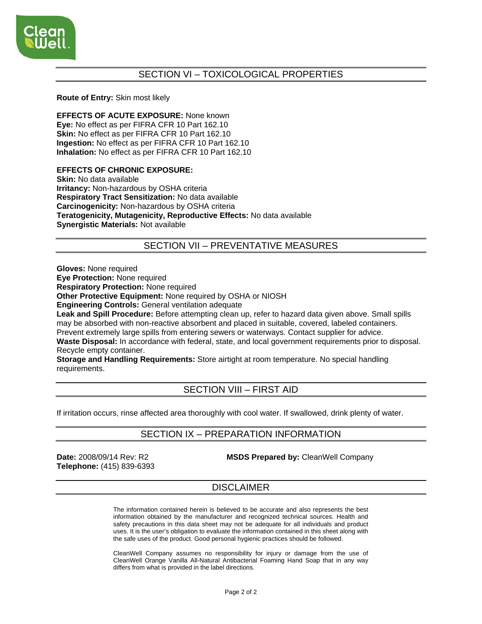

## SECTION VI – TOXICOLOGICAL PROPERTIES

#### **Route of Entry:** Skin most likely

**EFFECTS OF ACUTE EXPOSURE:** None known **Eye:** No effect as per FIFRA CFR 10 Part 162.10 **Skin:** No effect as per FIFRA CFR 10 Part 162.10 **Ingestion:** No effect as per FIFRA CFR 10 Part 162.10 **Inhalation:** No effect as per FIFRA CFR 10 Part 162.10

#### **EFFECTS OF CHRONIC EXPOSURE:**

**Skin:** No data available **Irritancy:** Non-hazardous by OSHA criteria **Respiratory Tract Sensitization:** No data available **Carcinogenicity:** Non-hazardous by OSHA criteria **Teratogenicity, Mutagenicity, Reproductive Effects:** No data available **Synergistic Materials:** Not available

## SECTION VII – PREVENTATIVE MEASURES

**Gloves:** None required

**Eye Protection:** None required

**Respiratory Protection:** None required

**Other Protective Equipment:** None required by OSHA or NIOSH

**Engineering Controls:** General ventilation adequate

**Leak and Spill Procedure:** Before attempting clean up, refer to hazard data given above. Small spills may be absorbed with non-reactive absorbent and placed in suitable, covered, labeled containers. Prevent extremely large spills from entering sewers or waterways. Contact supplier for advice. **Waste Disposal:** In accordance with federal, state, and local government requirements prior to disposal.

Recycle empty container.

**Storage and Handling Requirements:** Store airtight at room temperature. No special handling requirements.

## SECTION VIII – FIRST AID

If irritation occurs, rinse affected area thoroughly with cool water. If swallowed, drink plenty of water.

## SECTION IX – PREPARATION INFORMATION

**Telephone:** (415) 839-6393

**Date:** 2008/09/14 Rev: R2 **MSDS Prepared by:** CleanWell Company

## **DISCLAIMER**

The information contained herein is believed to be accurate and also represents the best information obtained by the manufacturer and recognized technical sources. Health and safety precautions in this data sheet may not be adequate for all individuals and product uses. It is the user's obligation to evaluate the information contained in this sheet along with the safe uses of the product. Good personal hygienic practices should be followed.

CleanWell Company assumes no responsibility for injury or damage from the use of CleanWell Orange Vanilla All-Natural Antibacterial Foaming Hand Soap that in any way differs from what is provided in the label directions.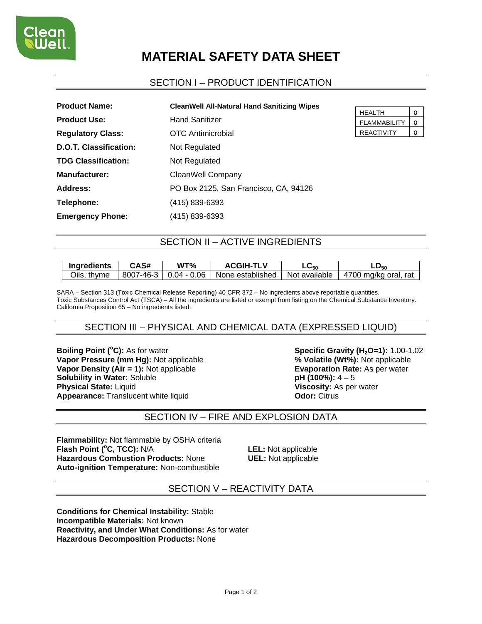

# **MATERIAL SAFETY DATA SHEET**

## SECTION I – PRODUCT IDENTIFICATION

| <b>Product Name:</b>       | <b>CleanWell All-Natural Hand Sanitizing Wipes</b> |  |
|----------------------------|----------------------------------------------------|--|
| <b>Product Use:</b>        | <b>Hand Sanitizer</b>                              |  |
| <b>Regulatory Class:</b>   | <b>OTC</b> Antimicrobial                           |  |
| D.O.T. Classification:     | Not Regulated                                      |  |
| <b>TDG Classification:</b> | Not Regulated                                      |  |
| <b>Manufacturer:</b>       | CleanWell Company                                  |  |
| Address:                   | PO Box 2125, San Francisco, CA, 94126              |  |
| Telephone:                 | (415) 839-6393                                     |  |
| <b>Emergency Phone:</b>    | (415) 839-6393                                     |  |

| HEALTH              |  |
|---------------------|--|
| <b>FLAMMABILITY</b> |  |
| <b>REACTIVITY</b>   |  |

## SECTION II – ACTIVE INGREDIENTS

| Ingredients | CAS# | WT%                              | <b>ACGIH-TLV</b> | ∟⊍50          | -∪50                 |
|-------------|------|----------------------------------|------------------|---------------|----------------------|
| Oils, thyme |      | $8007 - 46 - 3 \mid 0.04 - 0.06$ | None established | Not available | 4700 mg/kg oral, rat |

SARA – Section 313 (Toxic Chemical Release Reporting) 40 CFR 372 – No ingredients above reportable quantities. Toxic Substances Control Act (TSCA) – All the ingredients are listed or exempt from listing on the Chemical Substance Inventory. California Proposition 65 – No ingredients listed.

## SECTION III – PHYSICAL AND CHEMICAL DATA (EXPRESSED LIQUID)

**Boiling Point (°C):** As for water **Vapor Pressure (mm Hg): Not applicable Vapor Density (Air = 1):** Not applicable **Evaporation Rate:** As per water **Solubility in Water:** Soluble **pH (100%):**  $4-5$ **Physical State:** Liquid **Viscosity:** As per water **Appearance:** Translucent white liquid **CODE:** Citrus

**Specific Gravity (H<sub>2</sub>O=1):** 1.00-1.02<br>% **Volatile (Wt%):** Not applicable

## SECTION IV – FIRE AND EXPLOSION DATA

**Flammability:** Not flammable by OSHA criteria Flash Point (°C, TCC): N/A **Hazardous Combustion Products:** None **UEL:** Not applicable **Auto-ignition Temperature:** Non-combustible

**LEL:** Not applicable

### SECTION V – REACTIVITY DATA

**Conditions for Chemical Instability:** Stable **Incompatible Materials:** Not known **Reactivity, and Under What Conditions:** As for water **Hazardous Decomposition Products:** None